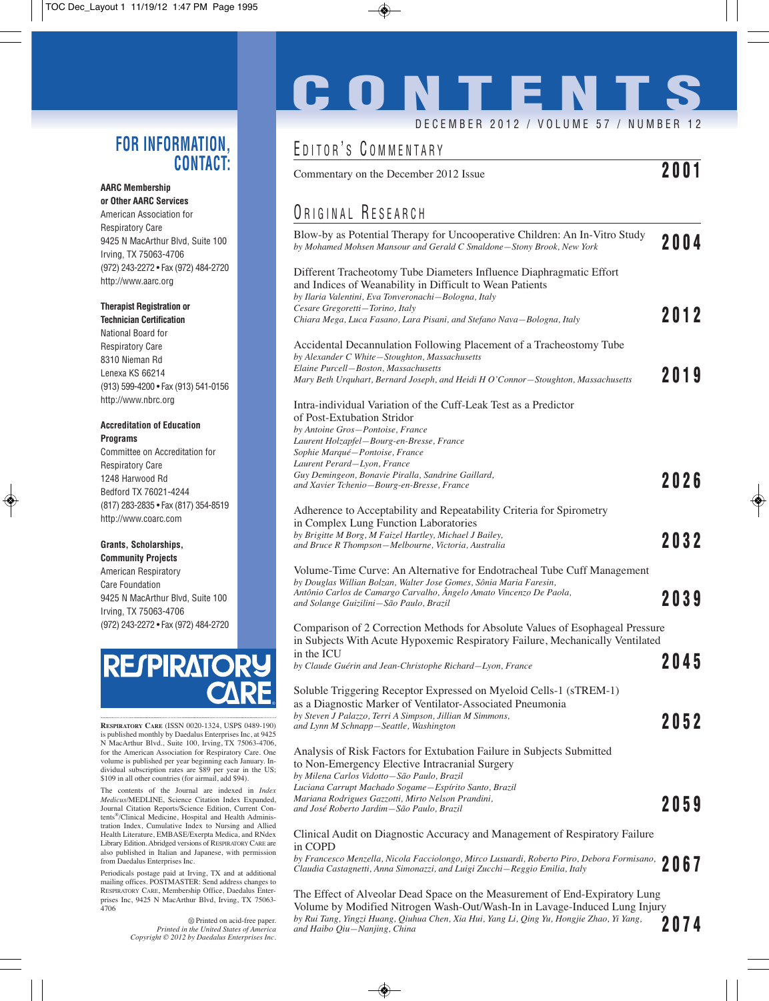#### **FOR INFORMATION, CONTACT:**

#### **AARC Membership**

**or Other AARC Services** American Association for Respiratory Care 9425 N MacArthur Blvd, Suite 100 Irving, TX 75063-4706 (972) 243-2272 • Fax (972) 484-2720 http://www.aarc.org

#### **Therapist Registration or**

**Technician Certification** National Board for Respiratory Care 8310 Nieman Rd Lenexa KS 66214 (913) 599-4200 • Fax (913) 541-0156 http://www.nbrc.org

#### **Accreditation of Education Programs**

Committee on Accreditation for Respiratory Care 1248 Harwood Rd Bedford TX 76021-4244 (817) 283-2835 • Fax (817) 354-8519 http://www.coarc.com

#### **Grants, Scholarships, Community Projects**

American Respiratory Care Foundation 9425 N MacArthur Blvd, Suite 100 Irving, TX 75063-4706 (972) 243-2272 • Fax (972) 484-2720



**RESPIRATORY CARE** (ISSN 0020-1324, USPS 0489-190) is published monthly by Daedalus Enterprises Inc, at 9425 N MacArthur Blvd., Suite 100, Irving, TX 75063-4706, for the American Association for Respiratory Care. One volume is published per year beginning each January. Individual subscription rates are \$89 per year in the US; \$109 in all other countries (for airmail, add \$94).

The contents of the Journal are indexed in *Index Medicus*/MEDLINE, Science Citation Index Expanded, Journal Citation Reports/Science Edition, Current Contents®/Clinical Medicine, Hospital and Health Administration Index, Cumulative Index to Nursing and Allied Health Literature, EMBASE/Exerpta Medica, and RNdex Library Edition. Abridged versions of RESPIRATORY CARE are also published in Italian and Japanese, with permission from Daedalus Enterprises Inc.

Periodicals postage paid at Irving, TX and at additional mailing offices. POSTMASTER: Send address changes to RESPIRATORY CARE, Membership Office, Daedalus Enterprises Inc, 9425 N MacArthur Blvd, Irving, TX 75063- 4706

> $\otimes$  Printed on acid-free paper. *Printed in the United States of America Copyright © 2012 by Daedalus Enterprises Inc.*

# **CONTENTS**

DECEMBER 2012 / VOLUME 57 / NUMBER 12

### EDITOR'S COMMENTARY

| Commentary on the December 2012 Issue | Z V V 1 |
|---------------------------------------|---------|
|---------------------------------------|---------|

## ORIGINAL RESEARCH

| Blow-by as Potential Therapy for Uncooperative Children: An In-Vitro Study<br>by Mohamed Mohsen Mansour and Gerald C Smaldone-Stony Brook, New York                                                              | 2004 |
|------------------------------------------------------------------------------------------------------------------------------------------------------------------------------------------------------------------|------|
| Different Tracheotomy Tube Diameters Influence Diaphragmatic Effort<br>and Indices of Weanability in Difficult to Wean Patients<br>by Ilaria Valentini, Eva Tonveronachi-Bologna, Italy                          |      |
| Cesare Gregoretti-Torino, Italy<br>Chiara Mega, Luca Fasano, Lara Pisani, and Stefano Nava-Bologna, Italy                                                                                                        | 2012 |
| Accidental Decannulation Following Placement of a Tracheostomy Tube<br>by Alexander C White-Stoughton, Massachusetts<br>Elaine Purcell-Boston, Massachusetts                                                     |      |
| Mary Beth Urquhart, Bernard Joseph, and Heidi H O'Connor–Stoughton, Massachusetts                                                                                                                                | 2019 |
| Intra-individual Variation of the Cuff-Leak Test as a Predictor<br>of Post-Extubation Stridor<br>by Antoine Gros-Pontoise, France<br>Laurent Holzapfel—Bourg-en-Bresse, France<br>Sophie Marqué-Pontoise, France |      |
| Laurent Perard-Lyon, France                                                                                                                                                                                      |      |
| Guy Demingeon, Bonavie Piralla, Sandrine Gaillard,<br>and Xavier Tchenio—Bourg-en-Bresse, France                                                                                                                 | 2026 |
| Adherence to Acceptability and Repeatability Criteria for Spirometry                                                                                                                                             |      |
| in Complex Lung Function Laboratories                                                                                                                                                                            |      |
| by Brigitte M Borg, M Faizel Hartley, Michael J Bailey,<br>and Bruce R Thompson-Melbourne, Victoria, Australia                                                                                                   | 2032 |
| Volume-Time Curve: An Alternative for Endotracheal Tube Cuff Management<br>by Douglas Willian Bolzan, Walter Jose Gomes, Sônia Maria Faresin,                                                                    |      |
| Antônio Carlos de Camargo Carvalho, Ângelo Amato Vincenzo De Paola,<br>and Solange Guizilini—São Paulo, Brazil                                                                                                   | 2039 |
| Comparison of 2 Correction Methods for Absolute Values of Esophageal Pressure<br>in Subjects With Acute Hypoxemic Respiratory Failure, Mechanically Ventilated                                                   |      |
| in the ICU<br>by Claude Guérin and Jean-Christophe Richard-Lyon, France                                                                                                                                          | 2045 |
| Soluble Triggering Receptor Expressed on Myeloid Cells-1 (sTREM-1)<br>as a Diagnostic Marker of Ventilator-Associated Pneumonia                                                                                  |      |
| by Steven J Palazzo, Terri A Simpson, Jillian M Simmons,<br>and Lynn M Schnapp-Seattle, Washington                                                                                                               | 2052 |
| Analysis of Risk Factors for Extubation Failure in Subjects Submitted<br>to Non-Emergency Elective Intracranial Surgery<br>by Milena Carlos Vidotto-São Paulo, Brazil                                            |      |
| Luciana Carrupt Machado Sogame-Espírito Santo, Brazil                                                                                                                                                            |      |
| Mariana Rodrigues Gazzotti, Mirto Nelson Prandini,<br>and José Roberto Jardim–São Paulo, Brazil                                                                                                                  | 2059 |
| Clinical Audit on Diagnostic Accuracy and Management of Respiratory Failure<br>in COPD                                                                                                                           |      |

*by Francesco Menzella, Nicola Facciolongo, Mirco Lusuardi, Roberto Piro, Debora Formisano, Claudia Castagnetti, Anna Simonazzi, and Luigi Zucchi—Reggio Emilia, Italy* **2067**

The Effect of Alveolar Dead Space on the Measurement of End-Expiratory Lung Volume by Modified Nitrogen Wash-Out/Wash-In in Lavage-Induced Lung Injury *by Rui Tang, Yingzi Huang, Qiuhua Chen, Xia Hui, Yang Li, Qing Yu, Hongjie Zhao, Yi Yang, and Haibo Qiu—Nanjing, China* **2074**